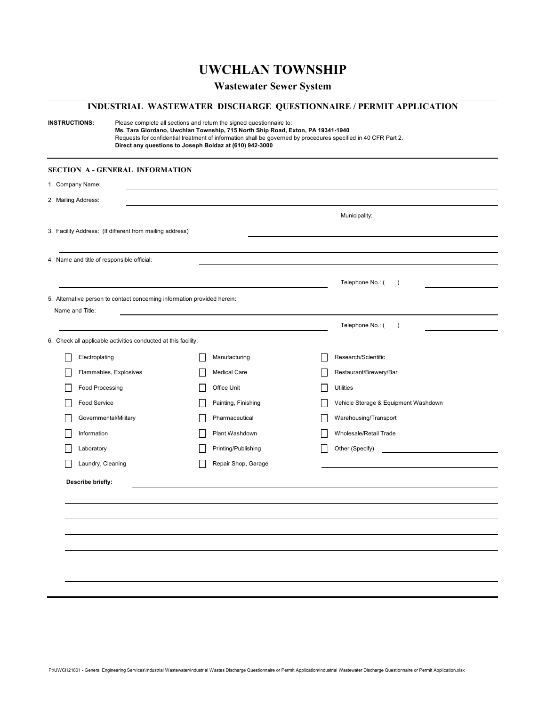# **UWCHLAN TOWNSHIP**

## **Wastewater Sewer System**

## **INDUSTRIAL WASTEWATER DISCHARGE QUESTIONNAIRE / PERMIT APPLICATION**

| <b>INSTRUCTIONS:</b> |                                                                          | Please complete all sections and return the signed questionnaire to:<br>Ms. Tara Giordano, Uwchlan Township, 715 North Ship Road, Exton, PA 19341-1940<br>Requests for confidential treatment of information shall be governed by procedures specified in 40 CFR Part 2.<br>Direct any questions to Joseph Boldaz at (610) 942-3000 |                                      |  |  |
|----------------------|--------------------------------------------------------------------------|-------------------------------------------------------------------------------------------------------------------------------------------------------------------------------------------------------------------------------------------------------------------------------------------------------------------------------------|--------------------------------------|--|--|
|                      | <b>SECTION A-GENERAL INFORMATION</b>                                     |                                                                                                                                                                                                                                                                                                                                     |                                      |  |  |
| 1. Company Name:     |                                                                          |                                                                                                                                                                                                                                                                                                                                     |                                      |  |  |
| 2. Mailing Address:  |                                                                          |                                                                                                                                                                                                                                                                                                                                     |                                      |  |  |
|                      |                                                                          |                                                                                                                                                                                                                                                                                                                                     | Municipality:                        |  |  |
|                      | 3. Facility Address: (If different from mailing address)                 |                                                                                                                                                                                                                                                                                                                                     |                                      |  |  |
|                      |                                                                          |                                                                                                                                                                                                                                                                                                                                     |                                      |  |  |
|                      | 4. Name and title of responsible official:                               |                                                                                                                                                                                                                                                                                                                                     |                                      |  |  |
|                      |                                                                          |                                                                                                                                                                                                                                                                                                                                     | Telephone No.: (<br>$\lambda$        |  |  |
|                      | 5. Alternative person to contact concerning information provided herein: |                                                                                                                                                                                                                                                                                                                                     |                                      |  |  |
| Name and Title:      |                                                                          |                                                                                                                                                                                                                                                                                                                                     |                                      |  |  |
|                      |                                                                          |                                                                                                                                                                                                                                                                                                                                     | Telephone No.: (<br>$\lambda$        |  |  |
|                      | 6. Check all applicable activities conducted at this facility:           |                                                                                                                                                                                                                                                                                                                                     |                                      |  |  |
|                      | Electroplating                                                           | Manufacturing                                                                                                                                                                                                                                                                                                                       | Research/Scientific                  |  |  |
|                      | Flammables, Explosives                                                   | <b>Medical Care</b>                                                                                                                                                                                                                                                                                                                 | Restaurant/Brewery/Bar               |  |  |
|                      | Food Processing                                                          | Office Unit                                                                                                                                                                                                                                                                                                                         | <b>Utilities</b>                     |  |  |
|                      | Food Service                                                             | Painting, Finishing                                                                                                                                                                                                                                                                                                                 | Vehicle Storage & Equipment Washdown |  |  |
|                      | Governmental/Military                                                    | Pharmaceutical                                                                                                                                                                                                                                                                                                                      | Warehousing/Transport                |  |  |
| Information          |                                                                          | Plant Washdown                                                                                                                                                                                                                                                                                                                      | Wholesale/Retail Trade               |  |  |
| Laboratory           |                                                                          | Printing/Publishing                                                                                                                                                                                                                                                                                                                 | Other (Specify)                      |  |  |
|                      | Laundry, Cleaning                                                        | Repair Shop, Garage                                                                                                                                                                                                                                                                                                                 |                                      |  |  |
| Describe briefly:    |                                                                          |                                                                                                                                                                                                                                                                                                                                     |                                      |  |  |
|                      |                                                                          |                                                                                                                                                                                                                                                                                                                                     |                                      |  |  |
|                      |                                                                          |                                                                                                                                                                                                                                                                                                                                     |                                      |  |  |
|                      |                                                                          |                                                                                                                                                                                                                                                                                                                                     |                                      |  |  |
|                      |                                                                          |                                                                                                                                                                                                                                                                                                                                     |                                      |  |  |
|                      |                                                                          |                                                                                                                                                                                                                                                                                                                                     |                                      |  |  |
|                      |                                                                          |                                                                                                                                                                                                                                                                                                                                     |                                      |  |  |
|                      |                                                                          |                                                                                                                                                                                                                                                                                                                                     |                                      |  |  |
|                      |                                                                          |                                                                                                                                                                                                                                                                                                                                     |                                      |  |  |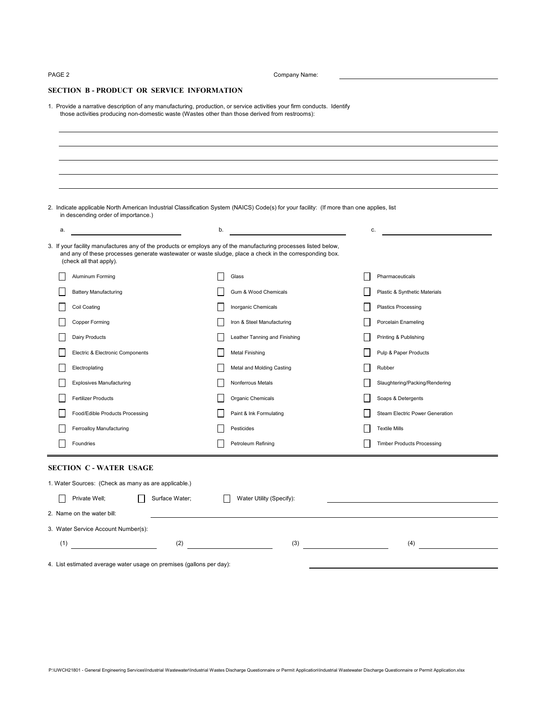PAGE 2 Company Name:

### **SECTION B - PRODUCT OR SERVICE INFORMATION**

1. Provide a narrative description of any manufacturing, production, or service activities your firm conducts. Identify those activities producing non-domestic waste (Wastes other than those derived from restrooms):

|    | 2. Indicate applicable North American Industrial Classification System (NAICS) Code(s) for your facility: (If more than one applies, list<br>in descending order of importance.)                                                                       |         |                               |    |                                   |
|----|--------------------------------------------------------------------------------------------------------------------------------------------------------------------------------------------------------------------------------------------------------|---------|-------------------------------|----|-----------------------------------|
| a. | <u> 1980 - Johann Barbara, martin a</u>                                                                                                                                                                                                                | b.      |                               | c. |                                   |
|    | 3. If your facility manufactures any of the products or employs any of the manufacturing processes listed below,<br>and any of these processes generate wastewater or waste sludge, place a check in the corresponding box.<br>(check all that apply). |         |                               |    |                                   |
|    | Aluminum Forming                                                                                                                                                                                                                                       |         | Glass                         |    | Pharmaceuticals                   |
|    | <b>Battery Manufacturing</b>                                                                                                                                                                                                                           |         | Gum & Wood Chemicals          |    | Plastic & Synthetic Materials     |
|    | Coil Coating                                                                                                                                                                                                                                           |         | Inorganic Chemicals           |    | <b>Plastics Processing</b>        |
|    | Copper Forming                                                                                                                                                                                                                                         |         | Iron & Steel Manufacturing    |    | Porcelain Enameling               |
|    | <b>Dairy Products</b>                                                                                                                                                                                                                                  |         | Leather Tanning and Finishing |    | Printing & Publishing             |
|    | Electric & Electronic Components                                                                                                                                                                                                                       |         | <b>Metal Finishing</b>        |    | Pulp & Paper Products             |
|    | Electroplating                                                                                                                                                                                                                                         |         | Metal and Molding Casting     |    | Rubber                            |
|    | <b>Explosives Manufacturing</b>                                                                                                                                                                                                                        |         | Nonferrous Metals             |    | Slaughtering/Packing/Rendering    |
|    | Fertilizer Products                                                                                                                                                                                                                                    |         | Organic Chemicals             |    | Soaps & Detergents                |
|    | Food/Edible Products Processing                                                                                                                                                                                                                        |         | Paint & Ink Formulating       |    | Steam Electric Power Generation   |
|    | Ferroalloy Manufacturing                                                                                                                                                                                                                               |         | Pesticides                    |    | <b>Textile Mills</b>              |
|    | Foundries                                                                                                                                                                                                                                              |         | Petroleum Refining            |    | <b>Timber Products Processing</b> |
|    | <b>SECTION C - WATER USAGE</b>                                                                                                                                                                                                                         |         |                               |    |                                   |
|    | 1. Water Sources: (Check as many as are applicable.)                                                                                                                                                                                                   |         |                               |    |                                   |
|    | Private Well;<br>Surface Water;                                                                                                                                                                                                                        | $\perp$ | Water Utility (Specify):      |    |                                   |
|    | 2. Name on the water bill:                                                                                                                                                                                                                             |         |                               |    |                                   |
|    | 3. Water Service Account Number(s):                                                                                                                                                                                                                    |         |                               |    |                                   |
|    | (1)<br>(2)                                                                                                                                                                                                                                             |         | (3)                           |    | (4)                               |
|    | 4. List estimated average water usage on premises (gallons per day):                                                                                                                                                                                   |         |                               |    |                                   |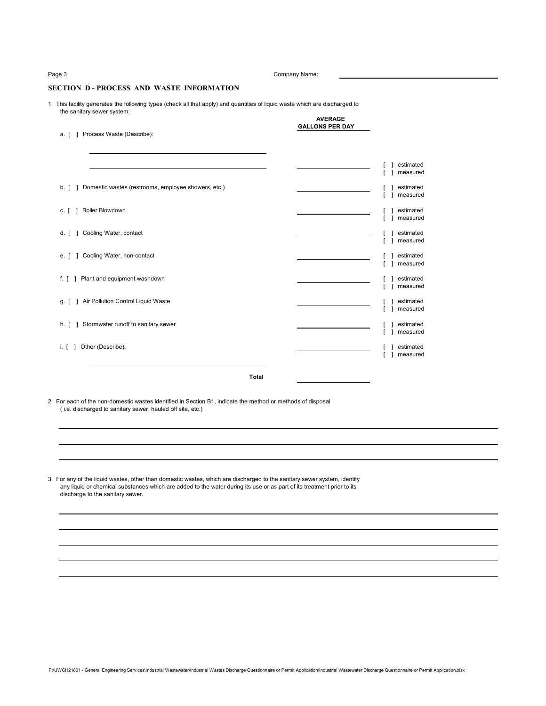Page 3 Company Name:

### **SECTION D - PROCESS AND WASTE INFORMATION**

1. This facility generates the following types (check all that apply) and quantities of liquid waste which are discharged to the sanitary sewer system: **AVERAGE**

|  |  | a. [ 1 Process Waste (Describe): |  |
|--|--|----------------------------------|--|
|  |  |                                  |  |

| a. [ ] | Process Waste (Describe):                           | <b>GALLONS PER DAY</b> |                       |
|--------|-----------------------------------------------------|------------------------|-----------------------|
|        |                                                     |                        |                       |
|        |                                                     |                        | estimated<br>measured |
| b. [ ] | Domestic wastes (restrooms, employee showers, etc.) |                        | estimated<br>measured |
| c. [ ] | <b>Boiler Blowdown</b>                              |                        | estimated<br>measured |
| d. [ ] | Cooling Water, contact                              |                        | estimated<br>measured |
|        | e. [ ] Cooling Water, non-contact                   |                        | estimated<br>measured |
|        | f. [ ] Plant and equipment washdown                 |                        | estimated<br>measured |
| g. [ ] | Air Pollution Control Liquid Waste                  |                        | estimated<br>measured |
|        | h. [ ] Stormwater runoff to sanitary sewer          |                        | estimated<br>measured |
|        | i. [ ] Other (Describe):                            |                        | estimated<br>measured |

**Total**

2. For each of the non-domestic wastes identified in Section B1, indicate the method or methods of disposal ( i.e. discharged to sanitary sewer, hauled off site, etc.)

3. For any of the liquid wastes, other than domestic wastes, which are discharged to the sanitary sewer system, identify any liquid or chemical substances which are added to the water during its use or as part of its treatment prior to its discharge to the sanitary sewer.